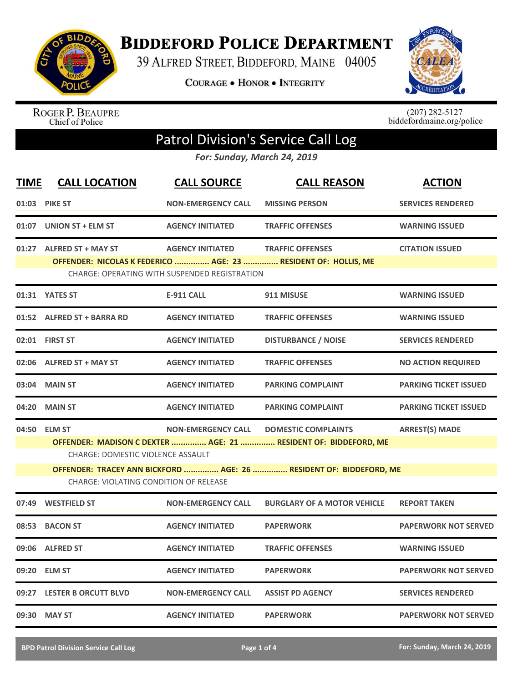

**BIDDEFORD POLICE DEPARTMENT** 

39 ALFRED STREET, BIDDEFORD, MAINE 04005

COURAGE . HONOR . INTEGRITY



ROGER P. BEAUPRE<br>Chief of Police

 $(207)$  282-5127<br>biddefordmaine.org/police

## Patrol Division's Service Call Log

*For: Sunday, March 24, 2019*

| <b>TIME</b>                                   | <b>CALL LOCATION</b>                                                                                                   | <b>CALL SOURCE</b>        | <b>CALL REASON</b>                                              | <b>ACTION</b>                |  |  |
|-----------------------------------------------|------------------------------------------------------------------------------------------------------------------------|---------------------------|-----------------------------------------------------------------|------------------------------|--|--|
| 01:03                                         | <b>PIKE ST</b>                                                                                                         | <b>NON-EMERGENCY CALL</b> | <b>MISSING PERSON</b>                                           | <b>SERVICES RENDERED</b>     |  |  |
|                                               | 01:07 UNION ST + ELM ST                                                                                                | <b>AGENCY INITIATED</b>   | <b>TRAFFIC OFFENSES</b>                                         | <b>WARNING ISSUED</b>        |  |  |
|                                               | 01:27 ALFRED ST + MAY ST                                                                                               | <b>AGENCY INITIATED</b>   | <b>TRAFFIC OFFENSES</b>                                         | <b>CITATION ISSUED</b>       |  |  |
|                                               | OFFENDER: NICOLAS K FEDERICO  AGE: 23  RESIDENT OF: HOLLIS, ME<br><b>CHARGE: OPERATING WITH SUSPENDED REGISTRATION</b> |                           |                                                                 |                              |  |  |
|                                               | 01:31 YATES ST                                                                                                         | <b>E-911 CALL</b>         | 911 MISUSE                                                      | <b>WARNING ISSUED</b>        |  |  |
|                                               | 01:52 ALFRED ST + BARRA RD                                                                                             | <b>AGENCY INITIATED</b>   | <b>TRAFFIC OFFENSES</b>                                         | <b>WARNING ISSUED</b>        |  |  |
|                                               | 02:01 FIRST ST                                                                                                         | <b>AGENCY INITIATED</b>   | <b>DISTURBANCE / NOISE</b>                                      | <b>SERVICES RENDERED</b>     |  |  |
|                                               | 02:06 ALFRED ST + MAY ST                                                                                               | <b>AGENCY INITIATED</b>   | <b>TRAFFIC OFFENSES</b>                                         | <b>NO ACTION REQUIRED</b>    |  |  |
| 03:04                                         | <b>MAIN ST</b>                                                                                                         | <b>AGENCY INITIATED</b>   | <b>PARKING COMPLAINT</b>                                        | <b>PARKING TICKET ISSUED</b> |  |  |
| 04:20                                         | <b>MAIN ST</b>                                                                                                         | <b>AGENCY INITIATED</b>   | <b>PARKING COMPLAINT</b>                                        | <b>PARKING TICKET ISSUED</b> |  |  |
|                                               | 04:50 ELM ST                                                                                                           | <b>NON-EMERGENCY CALL</b> | <b>DOMESTIC COMPLAINTS</b>                                      | <b>ARREST(S) MADE</b>        |  |  |
|                                               | <b>CHARGE: DOMESTIC VIOLENCE ASSAULT</b>                                                                               |                           | OFFENDER: MADISON C DEXTER  AGE: 21  RESIDENT OF: BIDDEFORD, ME |                              |  |  |
|                                               | OFFENDER: TRACEY ANN BICKFORD  AGE: 26  RESIDENT OF: BIDDEFORD, ME                                                     |                           |                                                                 |                              |  |  |
| <b>CHARGE: VIOLATING CONDITION OF RELEASE</b> |                                                                                                                        |                           |                                                                 |                              |  |  |
| 07:49                                         | <b>WESTFIELD ST</b>                                                                                                    | <b>NON-EMERGENCY CALL</b> | <b>BURGLARY OF A MOTOR VEHICLE</b>                              | <b>REPORT TAKEN</b>          |  |  |
| 08:53                                         | <b>BACON ST</b>                                                                                                        | <b>AGENCY INITIATED</b>   | <b>PAPERWORK</b>                                                | <b>PAPERWORK NOT SERVED</b>  |  |  |
| 09:06                                         | <b>ALFRED ST</b>                                                                                                       | <b>AGENCY INITIATED</b>   | <b>TRAFFIC OFFENSES</b>                                         | <b>WARNING ISSUED</b>        |  |  |
| 09:20                                         | <b>ELM ST</b>                                                                                                          | <b>AGENCY INITIATED</b>   | <b>PAPERWORK</b>                                                | <b>PAPERWORK NOT SERVED</b>  |  |  |
|                                               | 09:27 LESTER B ORCUTT BLVD                                                                                             | <b>NON-EMERGENCY CALL</b> | <b>ASSIST PD AGENCY</b>                                         | <b>SERVICES RENDERED</b>     |  |  |
|                                               | 09:30 MAY ST                                                                                                           | <b>AGENCY INITIATED</b>   | <b>PAPERWORK</b>                                                | <b>PAPERWORK NOT SERVED</b>  |  |  |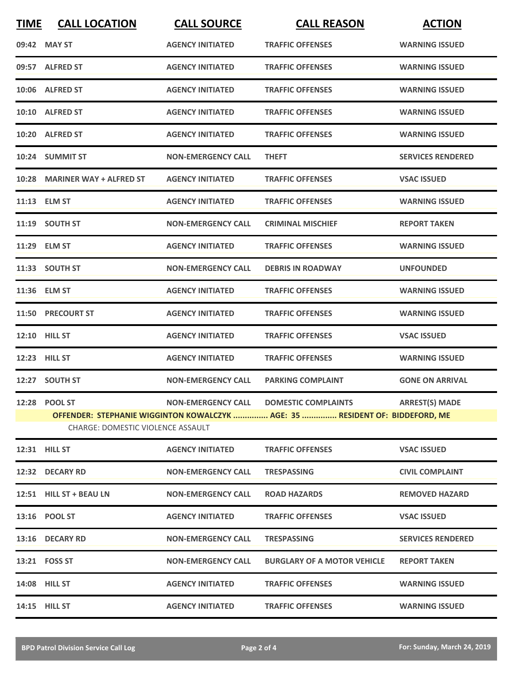| <b>TIME</b> | <b>CALL LOCATION</b>              | <b>CALL SOURCE</b>        | <b>CALL REASON</b>                                                           | <b>ACTION</b>            |
|-------------|-----------------------------------|---------------------------|------------------------------------------------------------------------------|--------------------------|
|             | 09:42 MAY ST                      | <b>AGENCY INITIATED</b>   | <b>TRAFFIC OFFENSES</b>                                                      | <b>WARNING ISSUED</b>    |
|             | 09:57 ALFRED ST                   | <b>AGENCY INITIATED</b>   | <b>TRAFFIC OFFENSES</b>                                                      | <b>WARNING ISSUED</b>    |
|             | 10:06 ALFRED ST                   | <b>AGENCY INITIATED</b>   | <b>TRAFFIC OFFENSES</b>                                                      | <b>WARNING ISSUED</b>    |
|             | 10:10 ALFRED ST                   | <b>AGENCY INITIATED</b>   | <b>TRAFFIC OFFENSES</b>                                                      | <b>WARNING ISSUED</b>    |
|             | 10:20 ALFRED ST                   | <b>AGENCY INITIATED</b>   | <b>TRAFFIC OFFENSES</b>                                                      | <b>WARNING ISSUED</b>    |
|             | 10:24 SUMMIT ST                   | <b>NON-EMERGENCY CALL</b> | <b>THEFT</b>                                                                 | <b>SERVICES RENDERED</b> |
|             | 10:28 MARINER WAY + ALFRED ST     | <b>AGENCY INITIATED</b>   | <b>TRAFFIC OFFENSES</b>                                                      | <b>VSAC ISSUED</b>       |
|             | 11:13 ELM ST                      | <b>AGENCY INITIATED</b>   | <b>TRAFFIC OFFENSES</b>                                                      | <b>WARNING ISSUED</b>    |
|             | 11:19 SOUTH ST                    | <b>NON-EMERGENCY CALL</b> | <b>CRIMINAL MISCHIEF</b>                                                     | <b>REPORT TAKEN</b>      |
|             | 11:29 ELM ST                      | <b>AGENCY INITIATED</b>   | <b>TRAFFIC OFFENSES</b>                                                      | <b>WARNING ISSUED</b>    |
|             | 11:33 SOUTH ST                    | <b>NON-EMERGENCY CALL</b> | <b>DEBRIS IN ROADWAY</b>                                                     | <b>UNFOUNDED</b>         |
|             | 11:36 ELM ST                      | <b>AGENCY INITIATED</b>   | <b>TRAFFIC OFFENSES</b>                                                      | <b>WARNING ISSUED</b>    |
|             | 11:50 PRECOURT ST                 | <b>AGENCY INITIATED</b>   | <b>TRAFFIC OFFENSES</b>                                                      | <b>WARNING ISSUED</b>    |
|             | <b>12:10 HILL ST</b>              | <b>AGENCY INITIATED</b>   | <b>TRAFFIC OFFENSES</b>                                                      | <b>VSAC ISSUED</b>       |
|             | 12:23 HILL ST                     | <b>AGENCY INITIATED</b>   | <b>TRAFFIC OFFENSES</b>                                                      | <b>WARNING ISSUED</b>    |
|             | 12:27 SOUTH ST                    | <b>NON-EMERGENCY CALL</b> | <b>PARKING COMPLAINT</b>                                                     | <b>GONE ON ARRIVAL</b>   |
|             | 12:28 POOL ST                     |                           | NON-EMERGENCY CALL DOMESTIC COMPLAINTS ARREST(S) MADE                        |                          |
|             | CHARGE: DOMESTIC VIOLENCE ASSAULT |                           | OFFENDER: STEPHANIE WIGGINTON KOWALCZYK  AGE: 35  RESIDENT OF: BIDDEFORD, ME |                          |
|             |                                   |                           |                                                                              |                          |
|             | <b>12:31 HILL ST</b>              | <b>AGENCY INITIATED</b>   | <b>TRAFFIC OFFENSES</b>                                                      | <b>VSAC ISSUED</b>       |
|             | 12:32 DECARY RD                   | <b>NON-EMERGENCY CALL</b> | <b>TRESPASSING</b>                                                           | <b>CIVIL COMPLAINT</b>   |
|             | 12:51 HILL ST + BEAU LN           | <b>NON-EMERGENCY CALL</b> | <b>ROAD HAZARDS</b>                                                          | <b>REMOVED HAZARD</b>    |
|             | 13:16 POOL ST                     | <b>AGENCY INITIATED</b>   | <b>TRAFFIC OFFENSES</b>                                                      | <b>VSAC ISSUED</b>       |
|             | 13:16 DECARY RD                   | <b>NON-EMERGENCY CALL</b> | <b>TRESPASSING</b>                                                           | <b>SERVICES RENDERED</b> |
|             | 13:21 FOSS ST                     | <b>NON-EMERGENCY CALL</b> | <b>BURGLARY OF A MOTOR VEHICLE</b>                                           | <b>REPORT TAKEN</b>      |
|             | <b>14:08 HILL ST</b>              | <b>AGENCY INITIATED</b>   | <b>TRAFFIC OFFENSES</b>                                                      | <b>WARNING ISSUED</b>    |
|             | 14:15 HILL ST                     | <b>AGENCY INITIATED</b>   | <b>TRAFFIC OFFENSES</b>                                                      | <b>WARNING ISSUED</b>    |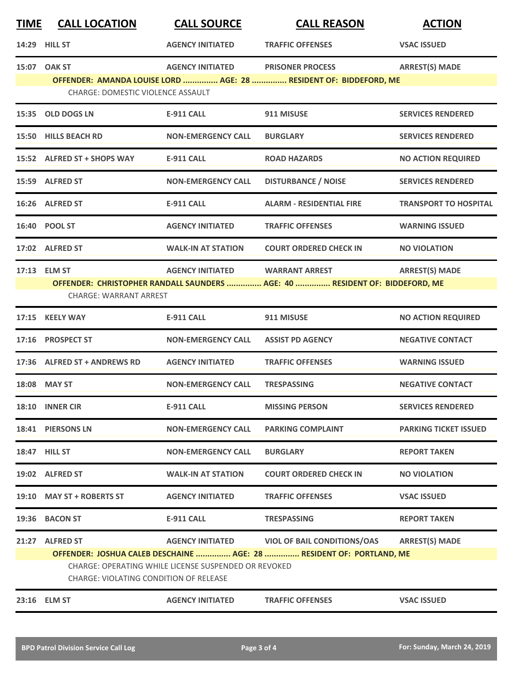| <b>TIME</b> | <b>CALL LOCATION</b>                                                                           | <b>CALL SOURCE</b>        | <b>CALL REASON</b>                                                          | <b>ACTION</b>                |  |
|-------------|------------------------------------------------------------------------------------------------|---------------------------|-----------------------------------------------------------------------------|------------------------------|--|
|             | 14:29 HILL ST                                                                                  | <b>AGENCY INITIATED</b>   | <b>TRAFFIC OFFENSES</b>                                                     | <b>VSAC ISSUED</b>           |  |
|             | 15:07 OAK ST                                                                                   | <b>AGENCY INITIATED</b>   | <b>PRISONER PROCESS</b>                                                     | <b>ARREST(S) MADE</b>        |  |
|             | <b>CHARGE: DOMESTIC VIOLENCE ASSAULT</b>                                                       |                           | OFFENDER: AMANDA LOUISE LORD  AGE: 28  RESIDENT OF: BIDDEFORD, ME           |                              |  |
|             | 15:35 OLD DOGS LN                                                                              | <b>E-911 CALL</b>         | 911 MISUSE                                                                  | <b>SERVICES RENDERED</b>     |  |
|             | 15:50 HILLS BEACH RD                                                                           | <b>NON-EMERGENCY CALL</b> | <b>BURGLARY</b>                                                             | <b>SERVICES RENDERED</b>     |  |
|             | 15:52 ALFRED ST + SHOPS WAY                                                                    | <b>E-911 CALL</b>         | <b>ROAD HAZARDS</b>                                                         | <b>NO ACTION REQUIRED</b>    |  |
|             | 15:59 ALFRED ST                                                                                | <b>NON-EMERGENCY CALL</b> | <b>DISTURBANCE / NOISE</b>                                                  | <b>SERVICES RENDERED</b>     |  |
|             | 16:26 ALFRED ST                                                                                | <b>E-911 CALL</b>         | <b>ALARM - RESIDENTIAL FIRE</b>                                             | <b>TRANSPORT TO HOSPITAL</b> |  |
|             | 16:40 POOL ST                                                                                  | <b>AGENCY INITIATED</b>   | <b>TRAFFIC OFFENSES</b>                                                     | <b>WARNING ISSUED</b>        |  |
|             | 17:02 ALFRED ST                                                                                | <b>WALK-IN AT STATION</b> | <b>COURT ORDERED CHECK IN</b>                                               | <b>NO VIOLATION</b>          |  |
|             | 17:13 ELM ST                                                                                   | <b>AGENCY INITIATED</b>   | <b>WARRANT ARREST</b>                                                       | <b>ARREST(S) MADE</b>        |  |
|             | <b>CHARGE: WARRANT ARREST</b>                                                                  |                           | OFFENDER: CHRISTOPHER RANDALL SAUNDERS  AGE: 40  RESIDENT OF: BIDDEFORD, ME |                              |  |
|             | 17:15 KEELY WAY                                                                                | <b>E-911 CALL</b>         | 911 MISUSE                                                                  | <b>NO ACTION REQUIRED</b>    |  |
|             | 17:16 PROSPECT ST                                                                              | <b>NON-EMERGENCY CALL</b> | <b>ASSIST PD AGENCY</b>                                                     | <b>NEGATIVE CONTACT</b>      |  |
|             | 17:36 ALFRED ST + ANDREWS RD                                                                   | <b>AGENCY INITIATED</b>   | <b>TRAFFIC OFFENSES</b>                                                     | <b>WARNING ISSUED</b>        |  |
|             | 18:08 MAY ST                                                                                   | <b>NON-EMERGENCY CALL</b> | <b>TRESPASSING</b>                                                          | <b>NEGATIVE CONTACT</b>      |  |
|             | 18:10 INNER CIR                                                                                | <b>E-911 CALL</b>         | <b>MISSING PERSON</b>                                                       | <b>SERVICES RENDERED</b>     |  |
|             | 18:41 PIERSONS LN                                                                              | <b>NON-EMERGENCY CALL</b> | <b>PARKING COMPLAINT</b>                                                    | <b>PARKING TICKET ISSUED</b> |  |
|             | 18:47 HILL ST                                                                                  | <b>NON-EMERGENCY CALL</b> | <b>BURGLARY</b>                                                             | <b>REPORT TAKEN</b>          |  |
|             | 19:02 ALFRED ST                                                                                | <b>WALK-IN AT STATION</b> | <b>COURT ORDERED CHECK IN</b>                                               | <b>NO VIOLATION</b>          |  |
|             | 19:10 MAY ST + ROBERTS ST                                                                      | <b>AGENCY INITIATED</b>   | <b>TRAFFIC OFFENSES</b>                                                     | <b>VSAC ISSUED</b>           |  |
|             | 19:36 BACON ST                                                                                 | E-911 CALL                | <b>TRESPASSING</b>                                                          | <b>REPORT TAKEN</b>          |  |
|             | 21:27 ALFRED ST                                                                                | <b>AGENCY INITIATED</b>   | <b>VIOL OF BAIL CONDITIONS/OAS</b>                                          | <b>ARREST(S) MADE</b>        |  |
|             |                                                                                                |                           | OFFENDER: JOSHUA CALEB DESCHAINE  AGE: 28  RESIDENT OF: PORTLAND, ME        |                              |  |
|             | CHARGE: OPERATING WHILE LICENSE SUSPENDED OR REVOKED<br>CHARGE: VIOLATING CONDITION OF RELEASE |                           |                                                                             |                              |  |
|             | 23:16 ELM ST                                                                                   | <b>AGENCY INITIATED</b>   | <b>TRAFFIC OFFENSES</b>                                                     | <b>VSAC ISSUED</b>           |  |